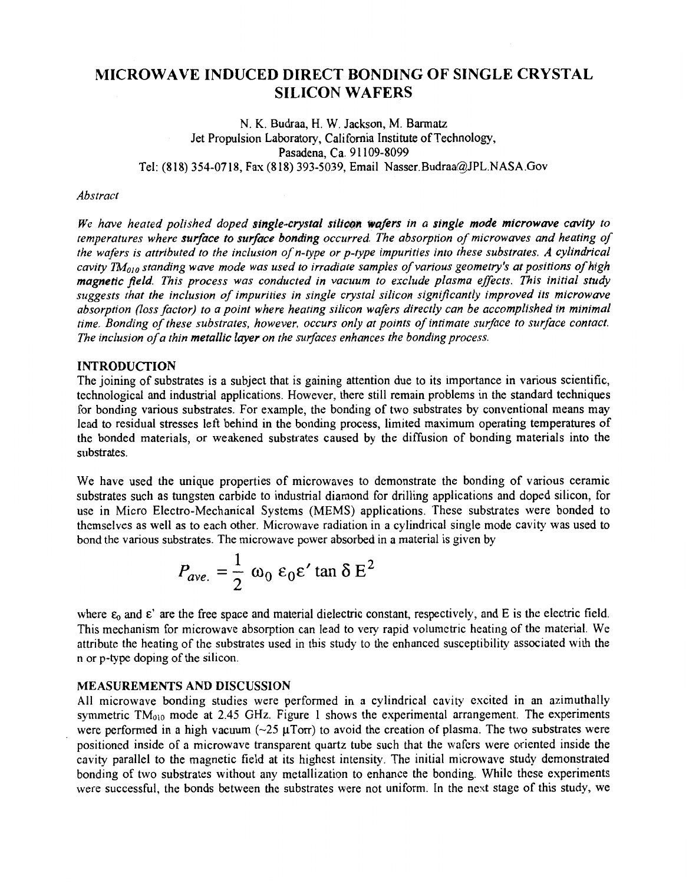# **MICROWAVE INDUCED DIRECT BONDING OF SINGLE CRYSTAL SILICON WAFERS**

N. K. Budraa, H. W. Jackson, **M.** Barmatz Jet Propulsion Laboratory, California Institute of Technology, Pasadena, Ca. 9 1 109-8099 Tel: (818) 354-0718, Fax (8 **18)** 393-5039, Email **[Nasser.Budraa@JPL.NASA.Gov](mailto:Nasser.Budraa@JPL.NASA.Gov)** 

#### *Abstract*

*We have heated polished doped single-crystal silicon wafers in a single mode microwave cavity to temperatures where surface to surface bonding occurred The absorption of microwaves and heating of the wafers is attributed to the inclusion of n-type or p-type impurities into these substrates. A cylindrical*  cavity  $TM_{010}$  standing wave mode was used to irradiate samples of various geometry's at positions of high *magnetic field. This process was conducted in vacuum to exclude plasma effects. This initial study suggests that the inclusion of impurities in single crystal silicon significantly improved its microwave absorption (loss factor) to a point where heating silicon wafers directly can be accomplished in minimal time. Bonding of these substrates, however, occurs only at points of intimate surface to surface contact. The inclusion of a thin metallic layer on the surfaces enhances the bonding process.* 

### **INTRODUCTION**

The joining of substrates is a subject that is gaining attention due to its importance in various scientific, technological and industrial applications. However, there still remain problems in the standard techniques for bonding various substrates. For example, the bonding of two substrates by conventional means may lead to residual stresses left behind in the bonding process, limited maximum operating temperatures of the bonded materials, or weakened substrates caused by the diffusion of bonding materials into the substrates.

We have used the unique properties of microwaves to demonstrate the bonding of various ceramic substrates such **as** tungsten carbide to industrial diamond for drilling applications and doped silicon, for use in Micro Electro-Mechanical Systems (MEMS) applications. These substrates were bonded to themselves as well as to each other. Microwave radiation in a cylindrical single mode cavity was used to bond the various substrates. The microwave power absorbed in a material is given by

$$
P_{\text{ave.}} = \frac{1}{2} \omega_0 \varepsilon_0 \varepsilon' \tan \delta E^2
$$

where  $\varepsilon_0$  and  $\varepsilon'$  are the free space and material dielectric constant, respectively, and E is the electric field. This mechanism for microwave absorption can lead to very rapid volumetric heating of the material. We attribute the heating of the substrates used in this study to the enhanced susceptibility associated with the n or p-type doping of the silicon.

#### **MEASUREMENTS AND DISCUSSION**

All microwave bonding studies were performed in a cylindrical cavity excited in an azimuthally symmetric TM<sub>010</sub> mode at 2.45 GHz. [Figure 1 s](#page-1-0)hows the experimental arrangement. The experiments were performed in a high vacuum ( $-25 \mu \text{Tor}$ ) to avoid the creation of plasma. The two substrates were positioned inside of a microwave transparent quartz tube such that the wafcrs were oriented inside the cavity parallel to the magnetic field at its highest intensity. The initial microwave study demonstrated bonding of two substrates without any metallization to enhance the bonding. Whilc thcse experiments were successful, the bonds between the substrates were not uniform. In the next stage of this study, we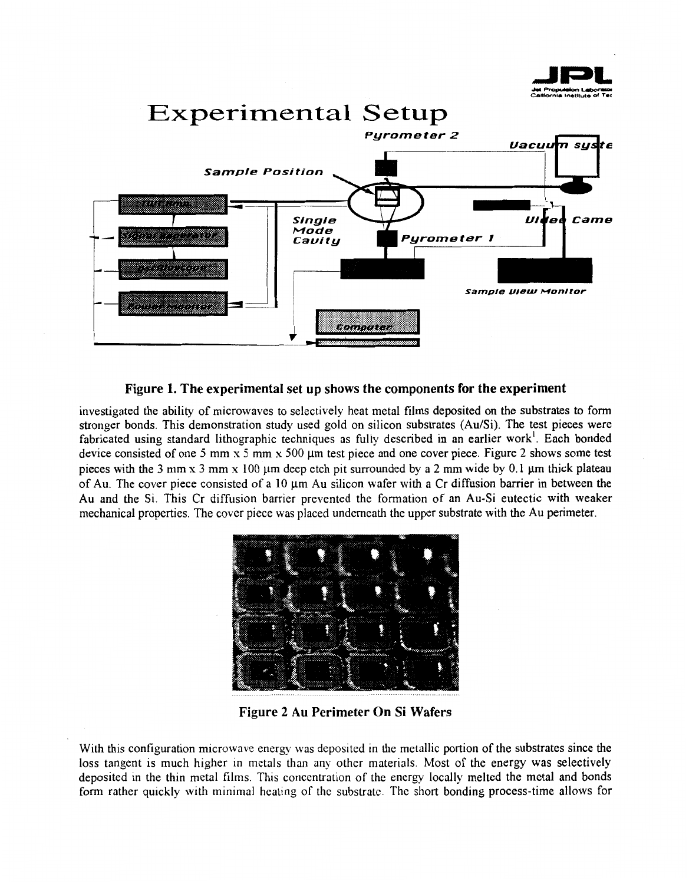<span id="page-1-0"></span>

Figure 1. The experimental set up shows the components for the experiment

investigated the ability of microwaves to selectively heat metal films deposited on the substrates to form stronger bonds. This demonstration study used gold on silicon substrates (Au/Si). The test pieces were fabricated using standard lithographic techniques as fully described in an earlier work'. Each bonded device consisted of one 5 mm  $x$  5 mm  $x$  500  $\mu$ m test piece and one cover piece. Figure 2 shows some test pieces with the  $3$  mm  $x$   $3$  mm  $x$   $100$   $\mu$ m deep etch pit surrounded by a  $2$  mm wide by  $0.1$   $\mu$ m thick plateau of Au. The cover piece consisted of a 10  $\mu$ m Au silicon wafer with a Cr diffusion barrier in between the Au and the Si. This Cr diffusion barrier prevented the formation of an Au-Si eutectic with weaker mechanical properties. The cover piece was placed underneath the upper substrate with the Au perimeter.



**Figure 2 Au Perimeter On Si Wafers** 

With this configuration microwave energy was deposited in the metallic portion of the substrates since the loss tangent is much higher in metals than any other materials. Most of the energy was selectively deposited in the thin metal films. This concentration of the energy locally melted the metal and bonds form rather quickly with minimal hcating of thc substrate. The short bonding process-time allows for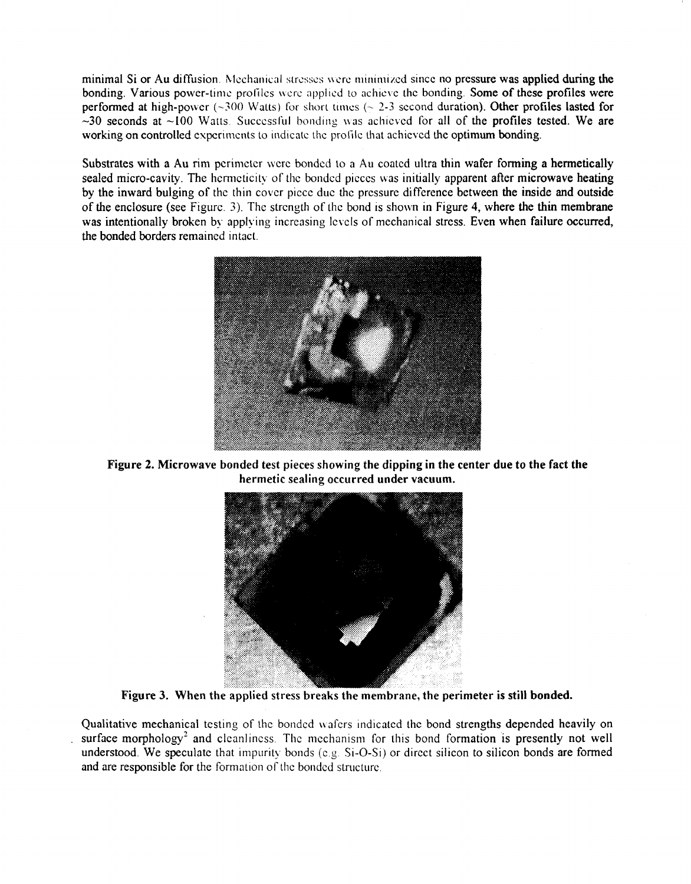minimal Si or Au diffusion. Mechanical stresses were minimized since no pressure was applied during the bonding. Various power-time profiles were applied to achieve the bonding. Some of these profiles were performed at high-power  $(-300 \text{ Watts})$  for short times  $(-2.3 \text{ second duration})$ . Other profiles lasted for  $-30$  seconds at  $\sim$ 100 Watts. Successful bonding was achieved for all of the profiles tested. We are working on controlled experiments to indicate the profile that achieved the optimum bonding.

Substrates with a Au rim perimeter were bonded to a Au coated ultra thin wafer forming a hermetically sealed micro-cavity. The hermeticity of the bonded pieces was initially apparent after microwave heating by the inward bulging of the thin cover piccc duc thc prcssurc difference between the inside and outside of the enclosure (see Figure. 3). The strength of the bond is shown in Figure **4,** where the thin membrane was intentionally broken by applying increasing levels of mechanical stress. Even when failure occurred, the bonded borders remained intact.



[Figure](#page-1-0) **2.** Microwave bonded test pieces showing the dipping in the center due to the fact the hermetic sealing occurred under vacuum.



Figure **3.** When the applied stress breaks the membrane, the perimeter **is** still bonded.

Qualitative mechanical testing of the bonded wafers indicated the bond strengths depended heavily on surface morphology<sup>2</sup> and cleanliness. The mechanism for this bond formation is presently not well understood. We speculate that impurity bonds  $(c.g. Si-O-Si)$  or direct silicon to silicon bonds are formed and are responsible for the formation of the bondcd structurc.